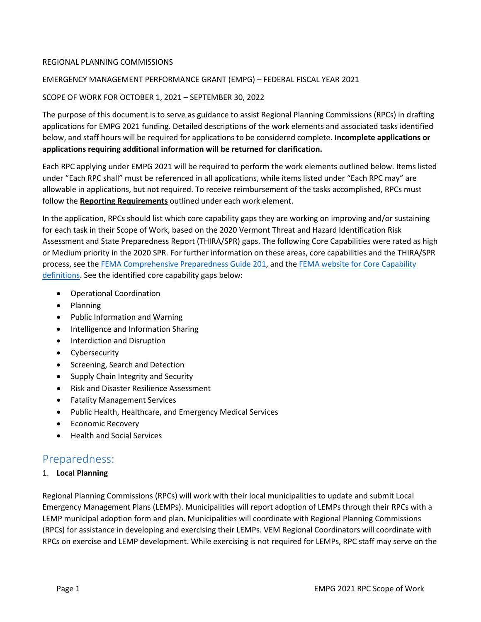## REGIONAL PLANNING COMMISSIONS

# EMERGENCY MANAGEMENT PERFORMANCE GRANT (EMPG) – FEDERAL FISCAL YEAR 2021

# SCOPE OF WORK FOR OCTOBER 1, 2021 – SEPTEMBER 30, 2022

The purpose of this document is to serve as guidance to assist Regional Planning Commissions (RPCs) in drafting applications for EMPG 2021 funding. Detailed descriptions of the work elements and associated tasks identified below, and staff hours will be required for applications to be considered complete. **Incomplete applications or applications requiring additional information will be returned for clarification.** 

Each RPC applying under EMPG 2021 will be required to perform the work elements outlined below. Items listed under "Each RPC shall" must be referenced in all applications, while items listed under "Each RPC may" are allowable in applications, but not required. To receive reimbursement of the tasks accomplished, RPCs must follow the **Reporting Requirements** outlined under each work element.

In the application, RPCs should list which core capability gaps they are working on improving and/or sustaining for each task in their Scope of Work, based on the 2020 Vermont Threat and Hazard Identification Risk Assessment and State Preparedness Report (THIRA/SPR) gaps. The following Core Capabilities were rated as high or Medium priority in the 2020 SPR. For further information on these areas, core capabilities and the THIRA/SPR process, see th[e FEMA Comprehensive Preparedness Guide 201,](https://www.fema.gov/media-library-data/1527613746699-fa31d9ade55988da1293192f1b18f4e3/CPG201Final20180525_508c.pdf) and th[e FEMA website for Core Capability](https://www.fema.gov/emergency-managers/national-preparedness/mission-core-capabilities)  [definitions.](https://www.fema.gov/emergency-managers/national-preparedness/mission-core-capabilities) See the identified core capability gaps below:

- Operational Coordination
- Planning
- Public Information and Warning
- Intelligence and Information Sharing
- Interdiction and Disruption
- Cybersecurity
- Screening, Search and Detection
- Supply Chain Integrity and Security
- Risk and Disaster Resilience Assessment
- Fatality Management Services
- Public Health, Healthcare, and Emergency Medical Services
- Economic Recovery
- Health and Social Services

# Preparedness:

### 1. **Local Planning**

Regional Planning Commissions (RPCs) will work with their local municipalities to update and submit Local Emergency Management Plans (LEMPs). Municipalities will report adoption of LEMPs through their RPCs with a LEMP municipal adoption form and plan. Municipalities will coordinate with Regional Planning Commissions (RPCs) for assistance in developing and exercising their LEMPs. VEM Regional Coordinators will coordinate with RPCs on exercise and LEMP development. While exercising is not required for LEMPs, RPC staff may serve on the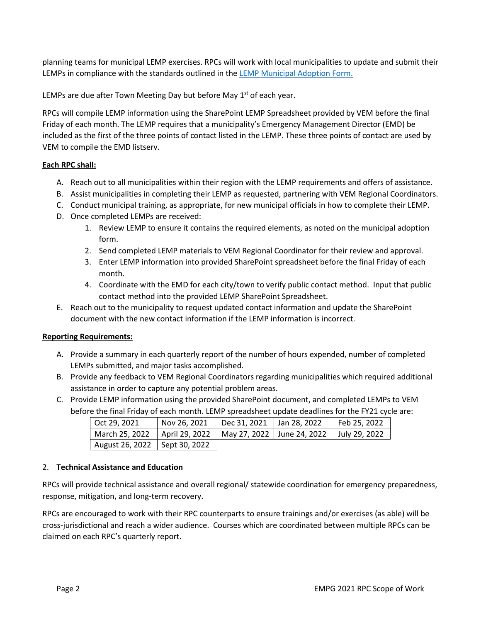planning teams for municipal LEMP exercises. RPCs will work with local municipalities to update and submit their LEMPs in compliance with the standards outlined in th[e LEMP Municipal Adoption Form.](http://vem.vermont.gov/plans/lemp)

LEMPs are due after Town Meeting Day but before May  $1<sup>st</sup>$  of each year.

RPCs will compile LEMP information using the SharePoint LEMP Spreadsheet provided by VEM before the final Friday of each month. The LEMP requires that a municipality's Emergency Management Director (EMD) be included as the first of the three points of contact listed in the LEMP. These three points of contact are used by VEM to compile the EMD listserv.

# **Each RPC shall:**

- A. Reach out to all municipalities within their region with the LEMP requirements and offers of assistance.
- B. Assist municipalities in completing their LEMP as requested, partnering with VEM Regional Coordinators.
- C. Conduct municipal training, as appropriate, for new municipal officials in how to complete their LEMP.
- D. Once completed LEMPs are received:
	- 1. Review LEMP to ensure it contains the required elements, as noted on the municipal adoption form.
	- 2. Send completed LEMP materials to VEM Regional Coordinator for their review and approval.
	- 3. Enter LEMP information into provided SharePoint spreadsheet before the final Friday of each month.
	- 4. Coordinate with the EMD for each city/town to verify public contact method. Input that public contact method into the provided LEMP SharePoint Spreadsheet.
- E. Reach out to the municipality to request updated contact information and update the SharePoint document with the new contact information if the LEMP information is incorrect.

### **Reporting Requirements:**

- A. Provide a summary in each quarterly report of the number of hours expended, number of completed LEMPs submitted, and major tasks accomplished.
- B. Provide any feedback to VEM Regional Coordinators regarding municipalities which required additional assistance in order to capture any potential problem areas.
- C. Provide LEMP information using the provided SharePoint document, and completed LEMPs to VEM before the final Friday of each month. LEMP spreadsheet update deadlines for the FY21 cycle are:

| Oct 29. 2021                    | Nov 26, 2021                                                  | Dec 31, 2021   Jan 28, 2022 | Feb 25, 2022 |
|---------------------------------|---------------------------------------------------------------|-----------------------------|--------------|
| March 25. 2022                  | April 29, 2022   May 27, 2022   June 24, 2022   July 29, 2022 |                             |              |
| August 26, 2022   Sept 30, 2022 |                                                               |                             |              |

### 2. **Technical Assistance and Education**

RPCs will provide technical assistance and overall regional/ statewide coordination for emergency preparedness, response, mitigation, and long-term recovery.

RPCs are encouraged to work with their RPC counterparts to ensure trainings and/or exercises (as able) will be cross-jurisdictional and reach a wider audience. Courses which are coordinated between multiple RPCs can be claimed on each RPC's quarterly report.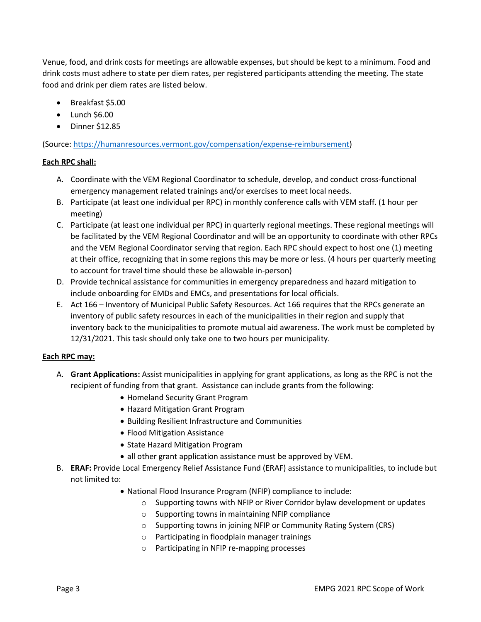Venue, food, and drink costs for meetings are allowable expenses, but should be kept to a minimum. Food and drink costs must adhere to state per diem rates, per registered participants attending the meeting. The state food and drink per diem rates are listed below.

- Breakfast \$5.00
- $\bullet$  Lunch \$6.00
- Dinner \$12.85

(Source: [https://humanresources.vermont.gov/compensation/expense-reimbursement\)](https://humanresources.vermont.gov/compensation/expense-reimbursement)

# **Each RPC shall:**

- A. Coordinate with the VEM Regional Coordinator to schedule, develop, and conduct cross-functional emergency management related trainings and/or exercises to meet local needs.
- B. Participate (at least one individual per RPC) in monthly conference calls with VEM staff. (1 hour per meeting)
- C. Participate (at least one individual per RPC) in quarterly regional meetings. These regional meetings will be facilitated by the VEM Regional Coordinator and will be an opportunity to coordinate with other RPCs and the VEM Regional Coordinator serving that region. Each RPC should expect to host one (1) meeting at their office, recognizing that in some regions this may be more or less. (4 hours per quarterly meeting to account for travel time should these be allowable in-person)
- D. Provide technical assistance for communities in emergency preparedness and hazard mitigation to include onboarding for EMDs and EMCs, and presentations for local officials.
- E. Act 166 Inventory of Municipal Public Safety Resources. Act 166 requires that the RPCs generate an inventory of public safety resources in each of the municipalities in their region and supply that inventory back to the municipalities to promote mutual aid awareness. The work must be completed by 12/31/2021. This task should only take one to two hours per municipality.

# **Each RPC may:**

- A. **Grant Applications:** Assist municipalities in applying for grant applications, as long as the RPC is not the recipient of funding from that grant. Assistance can include grants from the following:
	- Homeland Security Grant Program
	- Hazard Mitigation Grant Program
	- Building Resilient Infrastructure and Communities
	- Flood Mitigation Assistance
	- State Hazard Mitigation Program
	- all other grant application assistance must be approved by VEM.
- B. **ERAF:** Provide Local Emergency Relief Assistance Fund (ERAF) assistance to municipalities, to include but not limited to:
	- National Flood Insurance Program (NFIP) compliance to include:
		- $\circ$  Supporting towns with NFIP or River Corridor bylaw development or updates
		- o Supporting towns in maintaining NFIP compliance
		- o Supporting towns in joining NFIP or Community Rating System (CRS)
		- o Participating in floodplain manager trainings
		- o Participating in NFIP re-mapping processes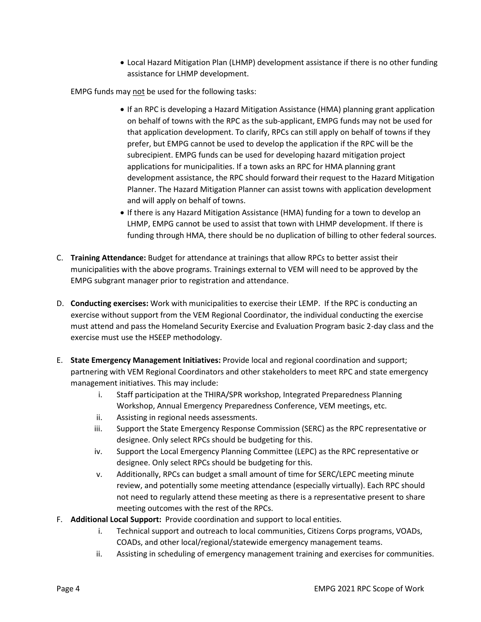• Local Hazard Mitigation Plan (LHMP) development assistance if there is no other funding assistance for LHMP development.

EMPG funds may not be used for the following tasks:

- If an RPC is developing a Hazard Mitigation Assistance (HMA) planning grant application on behalf of towns with the RPC as the sub-applicant, EMPG funds may not be used for that application development. To clarify, RPCs can still apply on behalf of towns if they prefer, but EMPG cannot be used to develop the application if the RPC will be the subrecipient. EMPG funds can be used for developing hazard mitigation project applications for municipalities. If a town asks an RPC for HMA planning grant development assistance, the RPC should forward their request to the Hazard Mitigation Planner. The Hazard Mitigation Planner can assist towns with application development and will apply on behalf of towns.
- If there is any Hazard Mitigation Assistance (HMA) funding for a town to develop an LHMP, EMPG cannot be used to assist that town with LHMP development. If there is funding through HMA, there should be no duplication of billing to other federal sources.
- C. **Training Attendance:** Budget for attendance at trainings that allow RPCs to better assist their municipalities with the above programs. Trainings external to VEM will need to be approved by the EMPG subgrant manager prior to registration and attendance.
- D. **Conducting exercises:** Work with municipalities to exercise their LEMP. If the RPC is conducting an exercise without support from the VEM Regional Coordinator, the individual conducting the exercise must attend and pass the Homeland Security Exercise and Evaluation Program basic 2-day class and the exercise must use the HSEEP methodology.
- E. **State Emergency Management Initiatives:** Provide local and regional coordination and support; partnering with VEM Regional Coordinators and other stakeholders to meet RPC and state emergency management initiatives. This may include:
	- i. Staff participation at the THIRA/SPR workshop, Integrated Preparedness Planning Workshop, Annual Emergency Preparedness Conference, VEM meetings, etc.
	- ii. Assisting in regional needs assessments.
	- iii. Support the State Emergency Response Commission (SERC) as the RPC representative or designee. Only select RPCs should be budgeting for this.
	- iv. Support the Local Emergency Planning Committee (LEPC) as the RPC representative or designee. Only select RPCs should be budgeting for this.
	- v. Additionally, RPCs can budget a small amount of time for SERC/LEPC meeting minute review, and potentially some meeting attendance (especially virtually). Each RPC should not need to regularly attend these meeting as there is a representative present to share meeting outcomes with the rest of the RPCs.
- F. **Additional Local Support:** Provide coordination and support to local entities.
	- i. Technical support and outreach to local communities, Citizens Corps programs, VOADs, COADs, and other local/regional/statewide emergency management teams.
	- ii. Assisting in scheduling of emergency management training and exercises for communities.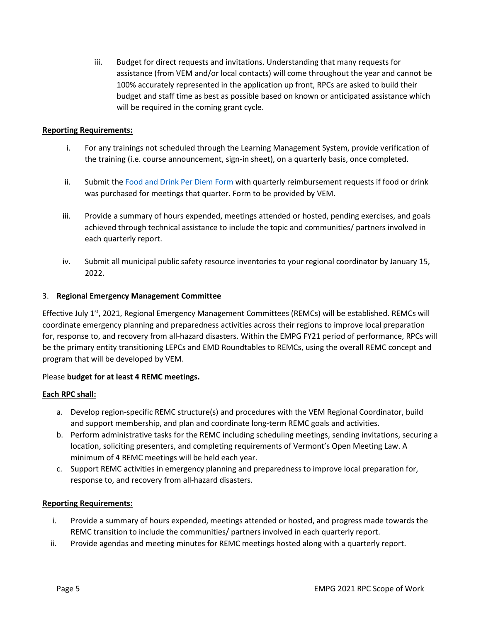iii. Budget for direct requests and invitations. Understanding that many requests for assistance (from VEM and/or local contacts) will come throughout the year and cannot be 100% accurately represented in the application up front, RPCs are asked to build their budget and staff time as best as possible based on known or anticipated assistance which will be required in the coming grant cycle.

## **Reporting Requirements:**

- i. For any trainings not scheduled through the Learning Management System, provide verification of the training (i.e. course announcement, sign-in sheet), on a quarterly basis, once completed.
- ii. Submit th[e Food and Drink Per Diem Form](https://vem.vermont.gov/sites/demhs/files/Planning/Food%20Reimbursement%20Form.pdf) with quarterly reimbursement requests if food or drink was purchased for meetings that quarter. Form to be provided by VEM.
- iii. Provide a summary of hours expended, meetings attended or hosted, pending exercises, and goals achieved through technical assistance to include the topic and communities/ partners involved in each quarterly report.
- iv. Submit all municipal public safety resource inventories to your regional coordinator by January 15, 2022.

### 3. **Regional Emergency Management Committee**

Effective July 1<sup>st</sup>, 2021, Regional Emergency Management Committees (REMCs) will be established. REMCs will coordinate emergency planning and preparedness activities across their regions to improve local preparation for, response to, and recovery from all-hazard disasters. Within the EMPG FY21 period of performance, RPCs will be the primary entity transitioning LEPCs and EMD Roundtables to REMCs, using the overall REMC concept and program that will be developed by VEM.

### Please **budget for at least 4 REMC meetings.**

### **Each RPC shall:**

- a. Develop region-specific REMC structure(s) and procedures with the VEM Regional Coordinator, build and support membership, and plan and coordinate long-term REMC goals and activities.
- b. Perform administrative tasks for the REMC including scheduling meetings, sending invitations, securing a location, soliciting presenters, and completing requirements of Vermont's Open Meeting Law. A minimum of 4 REMC meetings will be held each year.
- c. Support REMC activities in emergency planning and preparedness to improve local preparation for, response to, and recovery from all-hazard disasters.

### **Reporting Requirements:**

- i. Provide a summary of hours expended, meetings attended or hosted, and progress made towards the REMC transition to include the communities/ partners involved in each quarterly report.
- ii. Provide agendas and meeting minutes for REMC meetings hosted along with a quarterly report.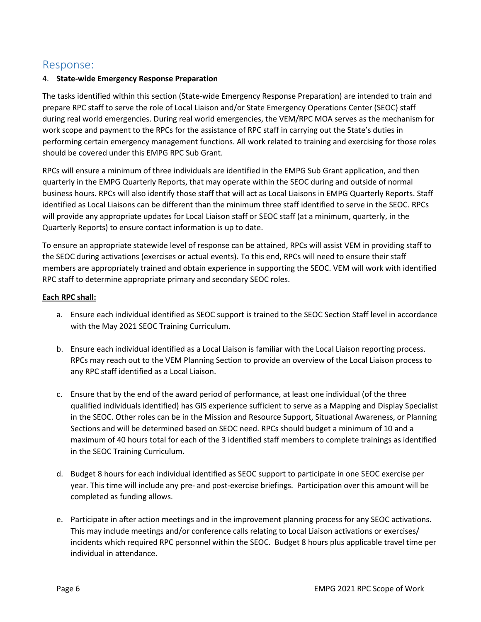# Response:

# 4. **State-wide Emergency Response Preparation**

The tasks identified within this section (State-wide Emergency Response Preparation) are intended to train and prepare RPC staff to serve the role of Local Liaison and/or State Emergency Operations Center (SEOC) staff during real world emergencies. During real world emergencies, the VEM/RPC MOA serves as the mechanism for work scope and payment to the RPCs for the assistance of RPC staff in carrying out the State's duties in performing certain emergency management functions. All work related to training and exercising for those roles should be covered under this EMPG RPC Sub Grant.

RPCs will ensure a minimum of three individuals are identified in the EMPG Sub Grant application, and then quarterly in the EMPG Quarterly Reports, that may operate within the SEOC during and outside of normal business hours. RPCs will also identify those staff that will act as Local Liaisons in EMPG Quarterly Reports. Staff identified as Local Liaisons can be different than the minimum three staff identified to serve in the SEOC. RPCs will provide any appropriate updates for Local Liaison staff or SEOC staff (at a minimum, quarterly, in the Quarterly Reports) to ensure contact information is up to date.

To ensure an appropriate statewide level of response can be attained, RPCs will assist VEM in providing staff to the SEOC during activations (exercises or actual events). To this end, RPCs will need to ensure their staff members are appropriately trained and obtain experience in supporting the SEOC. VEM will work with identified RPC staff to determine appropriate primary and secondary SEOC roles.

# **Each RPC shall:**

- a. Ensure each individual identified as SEOC support is trained to the SEOC Section Staff level in accordance with the May 2021 SEOC Training Curriculum.
- b. Ensure each individual identified as a Local Liaison is familiar with the Local Liaison reporting process. RPCs may reach out to the VEM Planning Section to provide an overview of the Local Liaison process to any RPC staff identified as a Local Liaison.
- c. Ensure that by the end of the award period of performance, at least one individual (of the three qualified individuals identified) has GIS experience sufficient to serve as a Mapping and Display Specialist in the SEOC. Other roles can be in the Mission and Resource Support, Situational Awareness, or Planning Sections and will be determined based on SEOC need. RPCs should budget a minimum of 10 and a maximum of 40 hours total for each of the 3 identified staff members to complete trainings as identified in the SEOC Training Curriculum.
- d. Budget 8 hours for each individual identified as SEOC support to participate in one SEOC exercise per year. This time will include any pre- and post-exercise briefings. Participation over this amount will be completed as funding allows.
- e. Participate in after action meetings and in the improvement planning process for any SEOC activations. This may include meetings and/or conference calls relating to Local Liaison activations or exercises/ incidents which required RPC personnel within the SEOC. Budget 8 hours plus applicable travel time per individual in attendance.